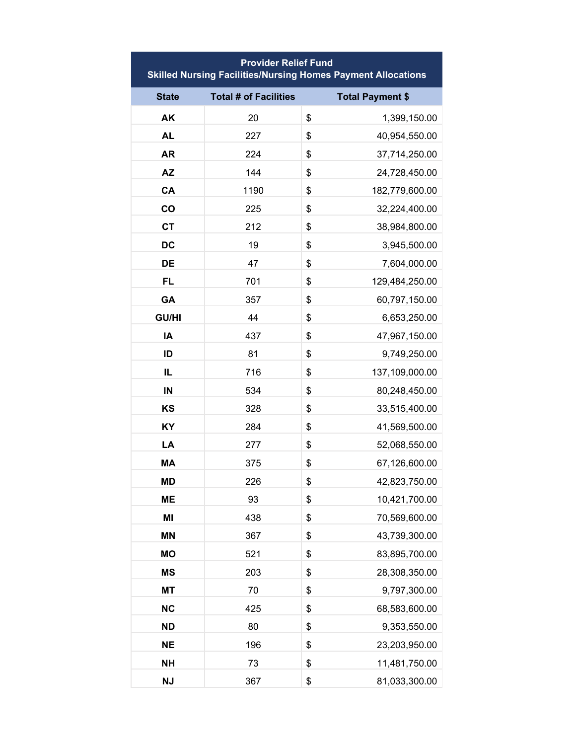| <b>Provider Relief Fund</b><br><b>Skilled Nursing Facilities/Nursing Homes Payment Allocations</b> |                              |                         |  |  |
|----------------------------------------------------------------------------------------------------|------------------------------|-------------------------|--|--|
| <b>State</b>                                                                                       | <b>Total # of Facilities</b> | <b>Total Payment \$</b> |  |  |
| AK                                                                                                 | 20                           | \$<br>1,399,150.00      |  |  |
| <b>AL</b>                                                                                          | 227                          | \$<br>40,954,550.00     |  |  |
| <b>AR</b>                                                                                          | 224                          | \$<br>37,714,250.00     |  |  |
| <b>AZ</b>                                                                                          | 144                          | \$<br>24,728,450.00     |  |  |
| CA                                                                                                 | 1190                         | \$<br>182,779,600.00    |  |  |
| co                                                                                                 | 225                          | \$<br>32,224,400.00     |  |  |
| <b>CT</b>                                                                                          | 212                          | \$<br>38,984,800.00     |  |  |
| <b>DC</b>                                                                                          | 19                           | \$<br>3,945,500.00      |  |  |
| DE                                                                                                 | 47                           | \$<br>7,604,000.00      |  |  |
| <b>FL</b>                                                                                          | 701                          | \$<br>129,484,250.00    |  |  |
| GA                                                                                                 | 357                          | \$<br>60,797,150.00     |  |  |
| <b>GU/HI</b>                                                                                       | 44                           | \$<br>6,653,250.00      |  |  |
| IA                                                                                                 | 437                          | \$<br>47,967,150.00     |  |  |
| ID                                                                                                 | 81                           | \$<br>9,749,250.00      |  |  |
| IL                                                                                                 | 716                          | \$<br>137,109,000.00    |  |  |
| IN                                                                                                 | 534                          | \$<br>80,248,450.00     |  |  |
| <b>KS</b>                                                                                          | 328                          | \$<br>33,515,400.00     |  |  |
| <b>KY</b>                                                                                          | 284                          | \$<br>41,569,500.00     |  |  |
| LA                                                                                                 | 277                          | \$<br>52,068,550.00     |  |  |
| <b>MA</b>                                                                                          | 375                          | \$<br>67,126,600.00     |  |  |
| <b>MD</b>                                                                                          | 226                          | \$<br>42,823,750.00     |  |  |
| <b>ME</b>                                                                                          | 93                           | \$<br>10,421,700.00     |  |  |
| MI                                                                                                 | 438                          | \$<br>70,569,600.00     |  |  |
| <b>MN</b>                                                                                          | 367                          | \$<br>43,739,300.00     |  |  |
| <b>MO</b>                                                                                          | 521                          | \$<br>83,895,700.00     |  |  |
| <b>MS</b>                                                                                          | 203                          | \$<br>28,308,350.00     |  |  |
| <b>MT</b>                                                                                          | 70                           | \$<br>9,797,300.00      |  |  |
| <b>NC</b>                                                                                          | 425                          | \$<br>68,583,600.00     |  |  |
| <b>ND</b>                                                                                          | 80                           | \$<br>9,353,550.00      |  |  |
| <b>NE</b>                                                                                          | 196                          | \$<br>23,203,950.00     |  |  |
| <b>NH</b>                                                                                          | 73                           | \$<br>11,481,750.00     |  |  |
| <b>NJ</b>                                                                                          | 367                          | \$<br>81,033,300.00     |  |  |